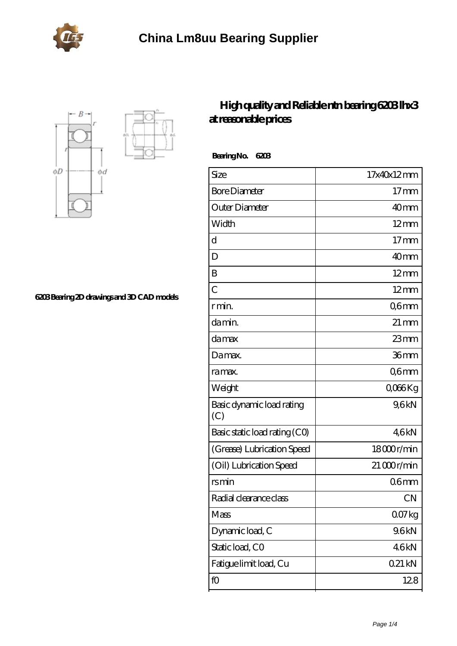



**[6203 Bearing 2D drawings and 3D CAD models](https://portalesinmobiliariosinternacionales.com/pic-667177.html)**

## **[High quality and Reliable ntn bearing 6203 lhx3](https://portalesinmobiliariosinternacionales.com/ntn-6203-bearing/) [at reasonable prices](https://portalesinmobiliariosinternacionales.com/ntn-6203-bearing/)**

 **Bearing No. 6203**

| Size                             | 17x40x12mm         |
|----------------------------------|--------------------|
| <b>Bore Diameter</b>             | $17 \text{mm}$     |
| Outer Diameter                   | 40 <sub>mm</sub>   |
| Width                            | $12$ mm            |
| d                                | $17$ mm            |
| D                                | 40 <sub>mm</sub>   |
| B                                | $12 \text{mm}$     |
| $\overline{C}$                   | $12 \text{mm}$     |
| r min.                           | Q6mm               |
| da min.                          | $21 \,\mathrm{mm}$ |
| damax                            | $23$ mm            |
| Damax.                           | 36mm               |
| ra max.                          | Q6mm               |
| Weight                           | QO66Kg             |
| Basic dynamic load rating<br>(C) | 9,6kN              |
| Basic static load rating (CO)    | 46kN               |
| (Grease) Lubrication Speed       | 18000r/min         |
| (Oil) Lubrication Speed          | $21000$ r/min      |
| rsmin                            | 06mm               |
| Radial clearance class           | <b>CN</b>          |
| Mass                             | 007kg              |
| Dynamic load, C                  | 9.6kN              |
| Static load, CO                  | 46kN               |
| Fatigue limit load, Cu           | 021 kN             |
| fO                               | 128                |
|                                  |                    |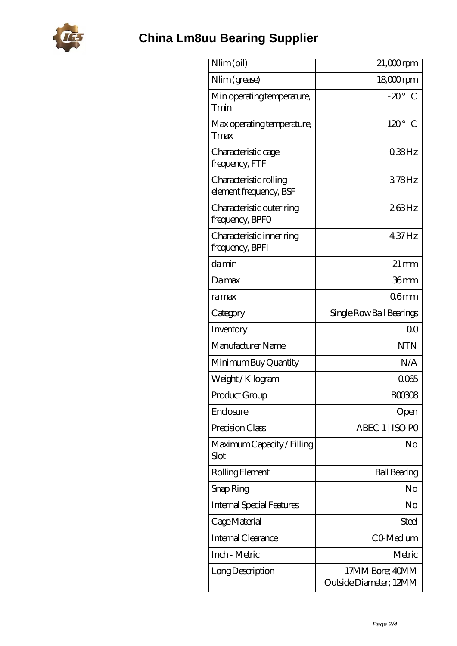

## **[China Lm8uu Bearing Supplier](https://portalesinmobiliariosinternacionales.com)**

| Nlim (oil)                                       | $21,000$ rpm                              |
|--------------------------------------------------|-------------------------------------------|
| Nlim (grease)                                    | $1800$ rpm                                |
| Min operating temperature,<br>Tmin               | $-20^\circ$ C                             |
| Max operating temperature,<br>Tmax               | $120^\circ$<br>$\mathcal C$               |
| Characteristic cage<br>frequency, FTF            | $038$ Hz                                  |
| Characteristic rolling<br>element frequency, BSF | 378Hz                                     |
| Characteristic outer ring<br>frequency, BPFO     | 263Hz                                     |
| Characteristic inner ring<br>frequency, BPFI     | 437Hz                                     |
| damin                                            | $21 \,\mathrm{mm}$                        |
| Damax                                            | 36mm                                      |
| ramax                                            | 06 <sub>mm</sub>                          |
| Category                                         | Single Row Ball Bearings                  |
| Inventory                                        | 0 <sup>0</sup>                            |
| Manufacturer Name                                | <b>NTN</b>                                |
| Minimum Buy Quantity                             | N/A                                       |
| Weight / Kilogram                                | 0065                                      |
| Product Group                                    | <b>BOO308</b>                             |
| Enclosure                                        | Open                                      |
| Precision Class                                  | ABEC 1   ISO PO                           |
| Maximum Capacity / Filling<br>Slot               | No                                        |
| Rolling Element                                  | <b>Ball Bearing</b>                       |
| Snap Ring                                        | No                                        |
| <b>Internal Special Features</b>                 | No                                        |
| Cage Material                                    | Steel                                     |
| Internal Clearance                               | CO-Medium                                 |
| Inch - Metric                                    | Metric                                    |
| Long Description                                 | 17MM Bore; 40MM<br>Outside Diameter; 12MM |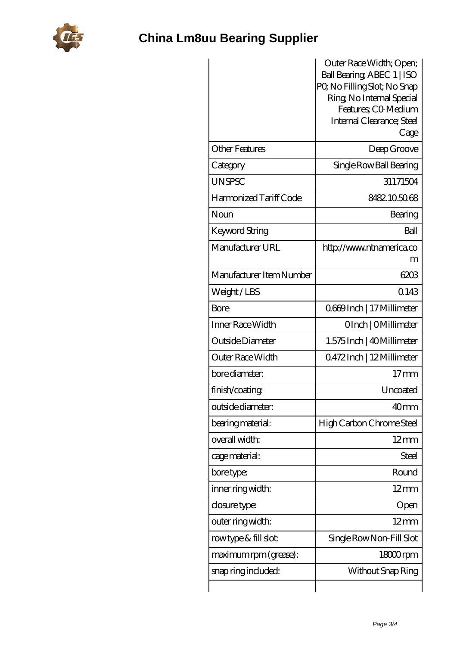

## **[China Lm8uu Bearing Supplier](https://portalesinmobiliariosinternacionales.com)**

|                          | Outer Race Width; Open;           |
|--------------------------|-----------------------------------|
|                          | Ball Bearing, ABEC 1   ISO        |
|                          | PQ No Filling Slot; No Snap       |
|                          | Ring, No Internal Special         |
|                          | Features; CO-Medium               |
|                          | Internal Clearance; Steel<br>Cage |
|                          |                                   |
| <b>Other Features</b>    | Deep Groove                       |
| Category                 | Single Row Ball Bearing           |
| <b>UNSPSC</b>            | 31171504                          |
| Harmonized Tariff Code   | 8482.105068                       |
| Noun                     | Bearing                           |
| Keyword String           | Ball                              |
| Manufacturer URL         | http://www.ntnamerica.co          |
|                          | m                                 |
| Manufacturer Item Number | 6203                              |
| Weight/LBS               | 0.143                             |
| Bore                     | 0669Inch   17 Millimeter          |
| Inner Race Width         | OInch   OMillimeter               |
| Outside Diameter         | 1.575 Inch   40 Millimeter        |
| Outer Race Width         | 0.472Inch   12Millimeter          |
| bore diameter:           | $17 \text{mm}$                    |
| finish/coating           | Uncoated                          |
| outside diameter:        | 40 <sub>mm</sub>                  |
| bearing material:        | High Carbon Chrome Steel          |
| overall width:           | $12 \text{mm}$                    |
| cage material:           | Steel                             |
| bore type:               | Round                             |
| inner ring width:        | $12 \text{mm}$                    |
| closure type:            | Open                              |
| outer ring width:        | $12 \text{mm}$                    |
| rowtype & fill slot:     | Single Row Non-Fill Slot          |
| maximum rpm (grease):    | 18000rpm                          |
| snap ring included:      | Without Snap Ring                 |
|                          |                                   |